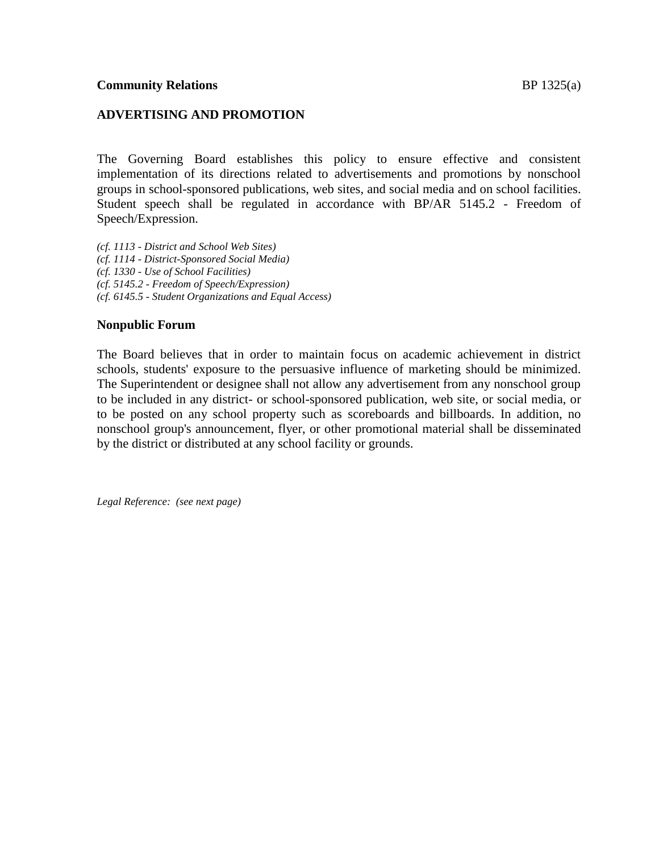The Governing Board establishes this policy to ensure effective and consistent implementation of its directions related to advertisements and promotions by nonschool groups in school-sponsored publications, web sites, and social media and on school facilities. Student speech shall be regulated in accordance with BP/AR 5145.2 - Freedom of Speech/Expression.

*(cf. 1113 - District and School Web Sites) (cf. 1114 - District-Sponsored Social Media) (cf. 1330 - Use of School Facilities) (cf. 5145.2 - Freedom of Speech/Expression) (cf. 6145.5 - Student Organizations and Equal Access)*

## **Nonpublic Forum**

The Board believes that in order to maintain focus on academic achievement in district schools, students' exposure to the persuasive influence of marketing should be minimized. The Superintendent or designee shall not allow any advertisement from any nonschool group to be included in any district- or school-sponsored publication, web site, or social media, or to be posted on any school property such as scoreboards and billboards. In addition, no nonschool group's announcement, flyer, or other promotional material shall be disseminated by the district or distributed at any school facility or grounds.

*Legal Reference: (see next page)*